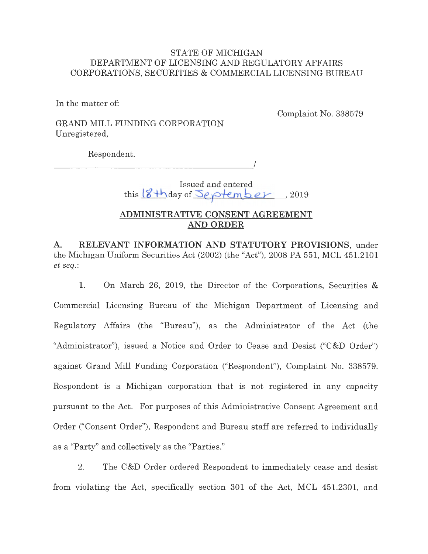### STATE OF MICHIGAN DEPARTMENT OF LICENSING AND REGULATORY AFFAIRS CORPORATIONS, SECURITIES & COMMERCIAL LICENSING BUREAU

In the matter of:

Complaint No. 338579

## GRAND MILL FUNDING CORPORATION Unregistered,

Respondent.

 $\overline{\phantom{a}}$ 

# Issued and entered this  $8 + \text{day of September}$ , 2019

## **ADMINISTRATIVE CONSENT AGREEMENT AND ORDER**

**A. RELEVANT INFORMATION AND STATUTORY PROVISIONS,** under the Michigan Uniform Securities Act (2002) (the "Act"), 2008 PA 551, MCL 451.2101 *et seq.:* 

1. On March 26, 2019, the Director of the Corporations, Securities & Commercial Licensing Bureau of the Michigan Department of Licensing and Regulatory Affairs (the "Bureau"), as the Administrator of the Act (the "Administrator"), issued a Notice and Order to Cease and Desist ("C&D Order") against Grand Mill Funding Corporation ("Respondent"), Complaint No. 338579. Respondent is a Michigan corporation that is not registered in any capacity pursuant to the Act. For purposes of this Administrative Consent Agreement and Order ("Consent Order"), Respondent and Bureau staff are referred to individually as a "Party" and collectively as the "Parties."

2. The C&D Order ordered Respondent to immediately cease and desist from violating the Act, specifically section 301 of the Act, MCL 451.2301, and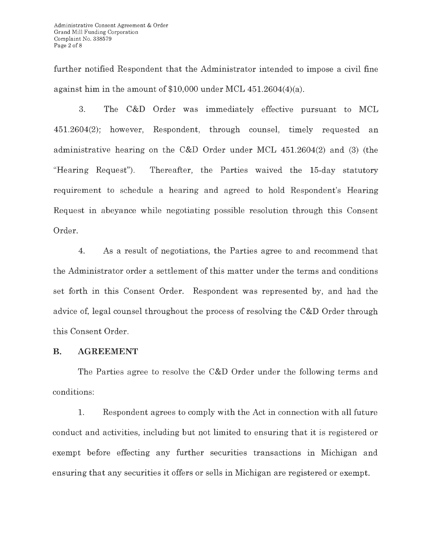further notified Respondent that the Administrator intended to impose a civil fine against him in the amount of \$10,000 under MCL 451.2604(4)(a).

3. The C&D Order was immediately effective pursuant to MCL 451.2604(2); however, Respondent, through counsel, timely requested an administrative hearing on the C&D Order under MCL 451.2604(2) and (3) (the "Hearing Request"). Thereafter, the Parties waived the 15-day statutory requirement to schedule a hearing and agreed to hold Respondent's Hearing Request in abeyance while negotiating possible resolution through this Consent Order.

4. As a result of negotiations, the Parties agree to and recommend that the Administrator order a settlement of this matter under the terms and conditions set forth in this Consent Order. Respondent was represented by, and had the advice of, legal counsel throughout the process of resolving the C&D Order through this Consent Order.

#### **B. AGREEMENT**

The Parties agree to resolve the C&D Order under the following terms and conditions:

1. Respondent agrees to comply with the Act in connection with all future conduct and activities, including but not limited to ensuring that it is registered or exempt before effecting any further securities transactions in Michigan and ensuring that any securities it offers or sells in Michigan are registered or exempt.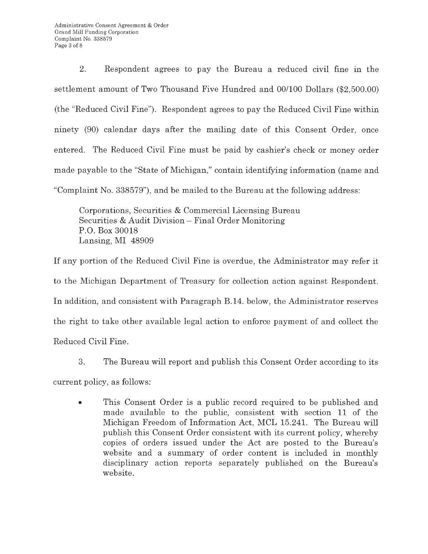2. Respondent agrees to pay the Bureau a reduced civil fine in the settlement amount of Two Thousand Five Hundred and 00/100 Dollars (\$2,500.00) (the "Reduced Civil Fine"). Respondent agrees to pay the Reduced Civil Fine within ninety (90) calendar days after the mailing date of this Consent Order, once entered. The Reduced Civil Fine must be paid by cashier's check or money order made payable to the "State of Michigan," contain identifying information (name and "Complaint No. 338579"), and be mailed to the Bureau at the following address:

Corporations, Securities & Commercial Licensing Bureau Securities & Audit Division - Final Order Monitoring P.O. Box 30018 Lansing, MI 48909

If any portion of the Reduced Civil Fine is overdue, the Administrator may refer it to the Michigan Department of Treasury for collection action against Respondent. In addition, and consistent with Paragraph **B.14.** below, the Administrator reserves the right to take other available legal action to enforce payment of and collect the Reduced Civil Fine.

3. The Bureau will report and publish this Consent Order according to its

current policy, as follows:

• This Consent Order is a public record required to be published and made available to the public, consistent with section **11** of the Michigan Freedom of Information Act, MCL 15.241. The Bureau will publish this Consent Order consistent with its current policy, whereby copies of orders issued under the Act are posted to the Bureau's website and a summary of order content is included in monthly disciplinary action reports separately published on the Bureau's website.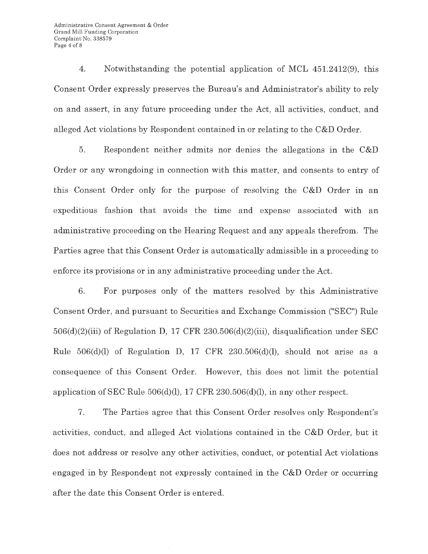4. Notwithstanding the potential application of MCL 451.2412(9), this Consent Order expressly preserves the Bureau's and Administrator's ability to rely on and assert, in any future proceeding under the Act, all activities, conduct, and alleged Act violations by Respondent contained in or relating to the C&D Order.

5. Respondent neither admits nor denies the allegations in the C&D Order or any wrongdoing in connection with this matter, and consents to entry of this Consent Order only for the purpose of resolving the C&D Order in an expeditious fashion that avoids the time and expense associated with an administrative proceeding on the Hearing Request and any appeals therefrom. The Parties agree that this Consent Order is automatically admissible in a proceeding to enforce its provisions or in any administrative proceeding under the Act.

6. For purposes only of the matters resolved by this Administrative Consent Order, and pursuant to Securities and Exchange Commission ("SEC") Rule  $506(d)(2)(iii)$  of Regulation D, 17 CFR 230.506(d)(2)(iii), disqualification under SEC Rule  $506(d)(l)$  of Regulation D, 17 CFR 230.506(d)(l), should not arise as a consequence of this Consent Order. However, this does not limit the potential application of SEC Rule 506(d)(l), 17 CFR 230.506(d)(l), in any other respect.

7. The Parties agree that this Consent Order resolves only Respondent's activities, conduct, and alleged Act violations contained in the C&D Order, but it does not address or resolve any other activities, conduct, or potential Act violations engaged in by Respondent not expressly contained in the C&D Order or occurring after the date this Consent Order is entered.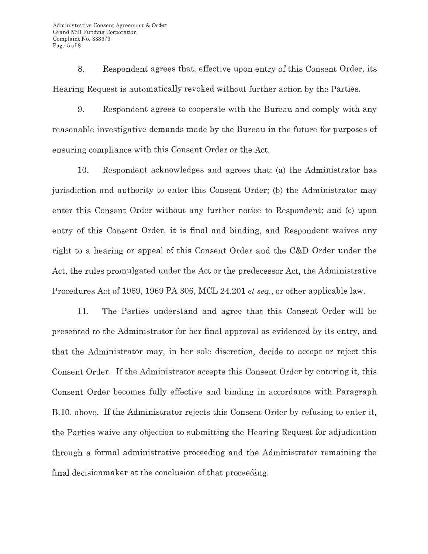8. Respondent agrees that, effective upon entry of this Consent Order, its Hearing Request is automatically revoked without further action by the Parties.

9. Respondent agrees to cooperate with the Bureau and comply with any reasonable investigative demands made by the Bureau in the future for purposes of ensuring compliance with this Consent Order or the Act.

10. Respondent acknowledges and agrees that: (a) the Administrator has jurisdiction and authority to enter this Consent Order; (b) the Administrator may enter this Consent Order without any further notice to Respondent; and (c) upon entry of this Consent Order, it is final and binding, and Respondent waives any right to a hearing or appeal of this Consent Order and the C&D Order under the Act, the rules promulgated under the Act or the predecessor Act, the Administrative Procedures Act of 1969, 1969 PA 306, MCL 24.201 *et seq.,* or other applicable law.

11. The Parties understand and agree that this Consent Order will be presented to the Administrator for her final approval as evidenced by its entry, and that the Administrator may, in her sole discretion, decide to accept or reject this Consent Order. If the Administrator accepts this Consent Order by entering it, this Consent Order becomes fully effective and binding in accordance with Paragraph B.10. above. If the Administrator rejects this Consent Order by refusing to enter it, the Parties waive any objection to submitting the Hearing Request for adjudication through a formal administrative proceeding and the Administrator remaining the final decisionmaker at the conclusion of that proceeding.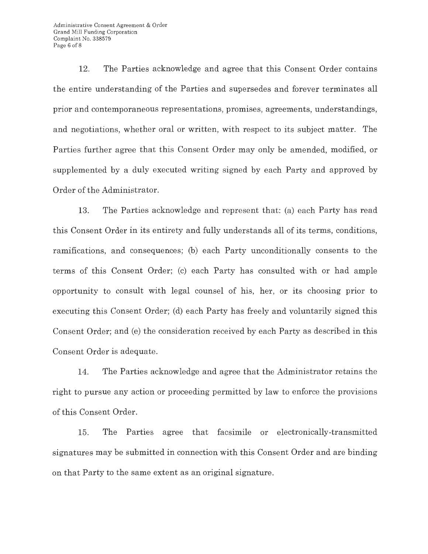Administrative Consent Agreement & Order Grand Mill Funding Corporation Complaint No. 338579 Page 6 of 8

12. The Parties acknowledge and agree that this Consent Order contains the entire understanding of the Parties and supersedes and forever terminates all prior and contemporaneous representations, promises, agreements, understandings, and negotiations, whether oral or written, with respect to its subject matter. The Parties further agree that this Consent Order may only be amended, modified, or supplemented by a duly executed writing signed by each Party and approved by Order of the Administrator.

13. The Parties acknowledge and represent that: (a) each Party has read this Consent Order in its entirety and fully understands all of its terms, conditions, ramifications, and consequences; (b) each Party unconditionally consents to the terms of this Consent Order; (c) each Party has consulted with or had ample opportunity to consult with legal counsel of his, her, or its choosing prior to executing this Consent Order; (d) each Party has freely and voluntarily signed this Consent Order; and (e) the consideration received by each Party as described in this Consent Order is adequate.

14. The Parties acknowledge and agree that the Administrator retains the right to pursue any action or proceeding permitted by law to enforce the provisions of this Consent Order.

15. The Parties agree that facsimile or electronically-transmitted signatures may be submitted in connection with this Consent Order and are binding on that Party to the same extent as an original signature.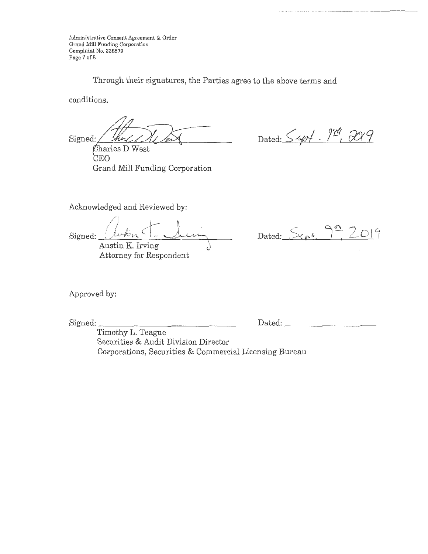Administrative Consent Agreement & Order Grand Mill Funding Corporation Complaint No. 338579 Page 7 of 8

Through their signatures, the Parties agree to the above terms and

conditions.

Signed: Thought Du Dans

CEO Grand Mill Funding Corporation

Dated: 54pt. 9th, 2019

Aclmowledged and Reviewed by:

,.,, */* !  $\frac{1}{2}$ ,  $\frac{1}{2}$   $\frac{1}{2}$  $Signed:$ Austin K. Irving

Attorney for Respondent

Dated:  $S_{\text{ref.}}$  9<sup>o</sup>, 2019

Approved by:

Signed:

Dated: \_

Timothy L. Teague Securities & Audit Division Director Corporations, Securities & Commercial Licensing Bureau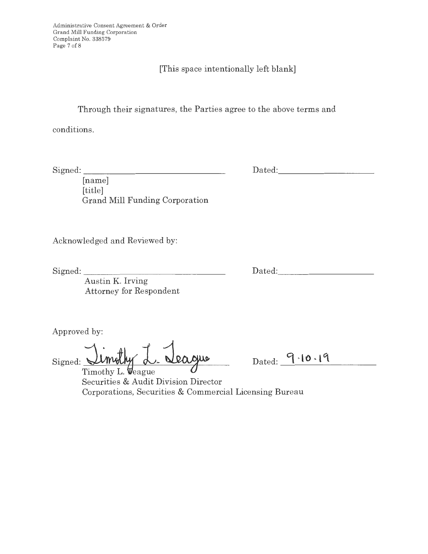Administrative Consent Agreement & Order Grand Mill Funding Corporation Complaint No. 338579 Page 7 of 8

# [This space intentionally left blank]

Through their signatures, the Parties agree to the above terms and

conditions.

Signed: \_\_\_\_\_\_\_\_\_\_\_\_\_\_ \_

Dated:

[name] [title] Grand Mill Funding Corporation

Acknowledged and Reviewed by:

Signed:

Dated:

Austin K. Irving Attorney for Respondent

Approved by:

eague **Signed: <sup>~</sup>l .** 

Dated: -----------

Timothy L. Veague Securities & Audit Division Director Corporations, Securities & Commercial Licensing Bureau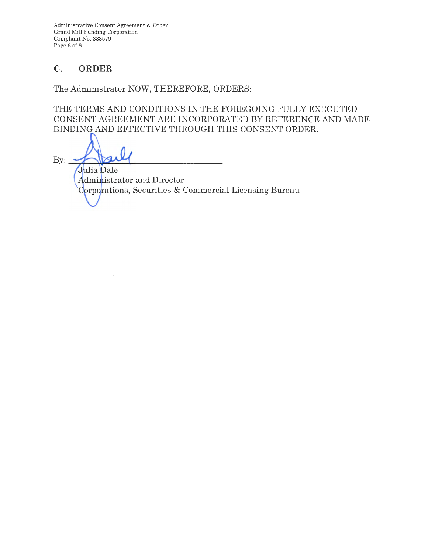Administrative Consent Agreement & Order Grand Mill Funding Corporation Complaint No. 338579 Page 8 of 8

## **C. ORDER**

The Administrator NOW, THEREFORE, ORDERS:

THE TERMS AND CONDITIONS IN THE FOREGOING FULLY EXECUTED CONSENT AGREEMENT ARE INCORPORATED BY REFERENCE AND MADE BINDING AND EFFECTIVE THROUGH THIS CONSENT ORDER.

 $By:$ Julia Dale

 $\bar{\lambda}$ 

Administrator and Director Corporations, Securities & Commercial Licensing Bureau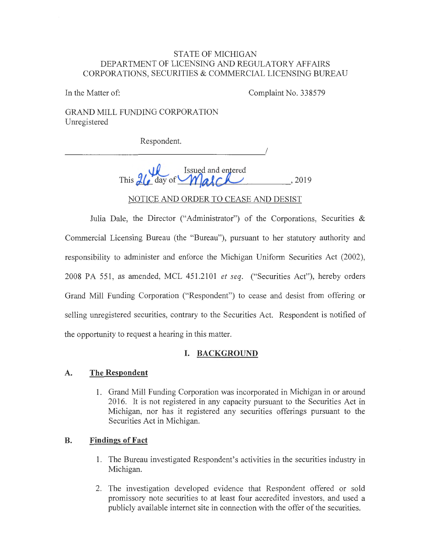#### STATE OF MICHIGAN DEPARTMENT OF LICENSING AND REGULATORY AFFAIRS CORPORATIONS, SECURITIES & COMMERCIAL LICENSING BUREAU

In the Matter of: Complaint No. 338579

GRAND MILL FUNDING CORPORATION Unregistered

Respondent.

 $\overline{\phantom{a}}$ 

Issued and entered This  $2\ell$ , day of **Malch**, 2019

NOTICE AND ORDER TO CEASE AND DESIST

Julia Dale, the Director ("Administrator") of the Corporations, Securities & Commercial Licensing Bureau (the "Bureau"), pursuant to her statutory authority and responsibility to administer and enforce the Michigan Uniform Securities Act (2002), 2008 PA 551, as amended, MCL 451.2101 *et seq.* ("Securities Act"), hereby orders Grand Mill Funding Corporation ("Respondent") to cease and desist from offering or selling unregistered securities, contrary to the Securities Act. Respondent is notified of the opportunity to request a hearing in this matter.

### **I. BACKGROUND**

#### **A. The Respondent**

1. Grand Mill Funding Corporation was incorporated in Michigan in or around 2016. It is not registered in any capacity pursuant to the Securities Act in Michigan, nor has it registered any securities offerings pursuant to the Securities Act in Michigan.

### **B. Findings of Fact**

- 1. The Bureau investigated Respondent's activities in the securities industry in Michigan.
- 2. The investigation developed evidence that Respondent offered or sold promissory note securities to at least four accredited investors, and used a publicly available internet site in connection with the offer of the securities.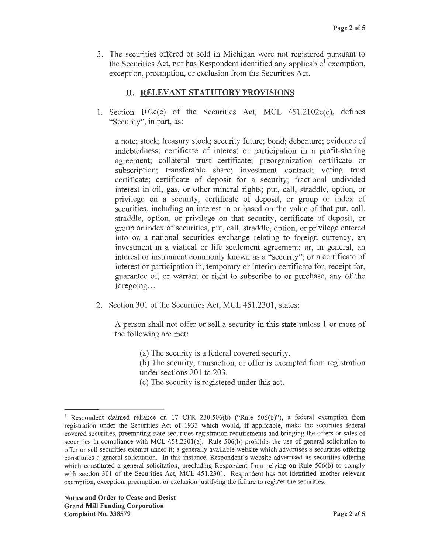3. The securities offered or sold in Michigan were not registered pursuant to the Securities Act, nor has Respondent identified any applicable  $\alpha$  exemption, exception, preemption, or exclusion from the Securities Act.

## II. **RELEVANT STATUTORY PROVISIONS**

1. Section  $102c(c)$  of the Securities Act, MCL  $451.2102c(c)$ , defines "Security", in part, as:

a note; stock; treasury stock; security future; bond; debenture; evidence of indebtedness; certificate of interest or participation in a profit-sharing agreement; collateral trust certificate; preorganization certificate or subscription; transferable share; investment contract; voting trust certificate; certificate of deposit for a security; fractional undivided interest in oil, gas, or other mineral rights; put, call, straddle, option, or privilege on a security, certificate of deposit, or group or index of securities, including an interest in or based on the value of that put, call, straddle, option, or privilege on that security, certificate of deposit, or group or index of securities, put, call, straddle, option, or privilege entered into on a national securities exchange relating to foreign currency, an investment in a viatical or life settlement agreement; or, in general, an interest or instrument commonly known as a "security"; or a certificate of interest or participation in, temporary or interim certificate for, receipt for, guarantee of, or warrant or right to subscribe to or purchase, any of the foregoing...

2. Section 301 of the Securities Act, MCL 451.2301, states:

A person shall not offer or sell a security in this state unless 1 or more of the following are met:

(a) The security is a federal covered security.

(b) The security, transaction, or offer is exempted from registration under sections 201 to 203.

( c) The security is registered under this act.

<sup>&</sup>lt;sup>1</sup> Respondent claimed reliance on 17 CFR 230.506(b) ("Rule  $506(b)$ "), a federal exemption from registration under the Securities Act of 1933 which would, if applicable, make the securities federal covered securities, preempting state securities registration requirements and bringing the offers or sales of securities in compliance with MCL  $451.2301(a)$ . Rule  $506(b)$  prohibits the use of general solicitation to offer or sell securities exempt under it; a generally available website which advertises a securities offering constitutes a general solicitation. In this instance, Respondent's website advertised its securities offering which constituted a general solicitation, precluding Respondent from relying on Rule 506(b) to comply with section 301 of the Securities Act, MCL 451.2301. Respondent has not identified another relevant exemption, exception, preemption, or exclusion justifying the failure to register the securities.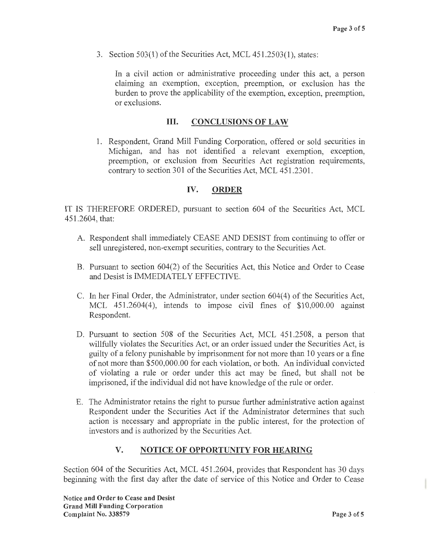3. Section 503(1) of the Securities Act, MCL 451.2503(1), states:

In a civil action or administrative proceeding under this act, a person claiming an exemption, exception, preemption, or exclusion has the burden to prove the applicability of the exemption, exception, preemption, or exclusions.

#### **Ill. CONCLUSIONS OF LAW**

1. Respondent, Grand Mill Funding Corporation, offered or sold securities in Michigan, and has not identified a relevant exemption, exception, preemption, or exclusion from Securities Act registration requirements, contrary to section 301 of the Securities Act, MCL 451.2301.

#### **IV. ORDER**

IT IS THEREFORE ORDERED, pursuant to section 604 of the Securities Act, MCL 451.2604, that:

- A. Respondent shall immediately CEASE AND DESIST from continuing to offer or sell unregistered, non-exempt securities, contrary to the Securities Act.
- B. Pursuant to section 604(2) of the Securities Act, this Notice and Order to Cease and Desist is IMMEDIATELY EFFECTIVE.
- C. In her Final Order, the Administrator, under section 604(4) of the Securities Act, MCL 451.2604(4), intends to impose civil fines of \$10,000.00 against Respondent.
- D. Pursuant to section 508 of the Securities Act, MCL 451.2508, a person that willfully violates the Securities Act, or an order issued under the Securities Act, is guilty of a felony punishable by imprisonment for not more than 10 years or a fine of not more than \$500,000.00 for each violation, or both. An individual convicted of violating a rule or order under this act may be fined, but shall not be imprisoned, if the individual did not have knowledge of the rule or order.
- E. The Administrator retains the right to pursue further administrative action against Respondent under the Securities Act if the Administrator determines that such action is necessary and appropriate in the public interest, for the protection of investors and is authorized by the Securities Act.

#### **V. NOTICE OF OPPORTUNITY FOR HEARING**

Section 604 of the Securities Act, MCL 451.2604, provides that Respondent has 30 days beginning with the first day after the date of service of this Notice and Order to Cease

**Notice and Order to Cease and Desist Grand Mill Funding Corporation Complaint No. 338579** Page 3 of 5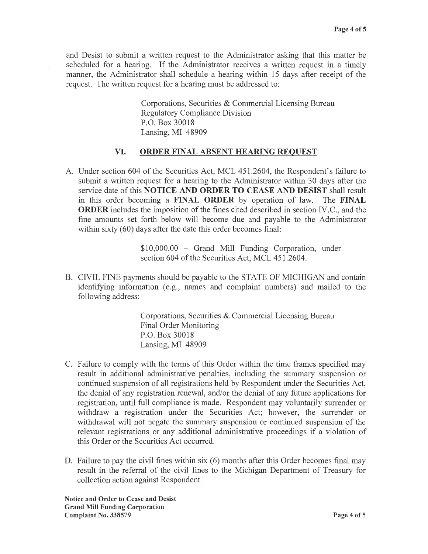and Desist to submit a written request to the Administrator asking that this matter be scheduled for a hearing. If the Administrator receives a written request in a timely manner, the Administrator shall schedule a hearing within 15 days after receipt of the request. The written request for a hearing must be addressed to:

> Corporations, Securities & Commercial Licensing Bureau Regulatory Compliance Division P.O. Box 30018 Lansing, MI 48909

### **VI. ORDER FINAL ABSENT HEARING REQUEST**

A. Under section 604 of the Securities Act, MCL 451.2604, the Respondent's failure to submit a written request for a hearing to the Administrator within 30 days after the service date of this **NOTICE AND ORDER TO CEASE AND DESIST** shall result in this order becoming a **FINAL ORDER** by operation of law. The **FINAL ORDER** includes the imposition of the fines cited described in section IV.C., and the fine amounts set forth below will become due and payable to the Administrator within sixty (60) days after the date this order becomes final:

> \$10,000.00 - Grand Mill Funding Corporation, under section 604 of the Securities Act, MCL 451.2604.

B. CIVIL FINE payments should be payable to the STATE OF MICHIGAN and contain identifying information (e.g., names and complaint numbers) and mailed to the following address:

> Corporations, Securities & Commercial Licensing Bureau Final Order Monitoring P.O. Box 30018 Lansing, MI 48909

- C. Failure to comply with the terms of this Order within the time frames specified may result in additional administrative penalties, including the summary suspension or continued suspension of all registrations held by Respondent under the Securities Act, the denial of any registration renewal, and/or the denial of any future applications for registration, until full compliance is made. Respondent may voluntarily surrender or withdraw a registration under the Securities Act; however, the surrender or withdrawal will not negate the summary suspension or continued suspension of the relevant registrations or any additional administrative proceedings if a violation of this Order or the Securities Act occurred.
- D. Failure to pay the civil fines within six (6) months after this Order becomes final may result in the referral of the civil fines to the Michigan Department of Treasury for collection action against Respondent.

**Notice and Order to Cease and Desist Grand Mill Funding Corporation Complaint No. 338579 Page 4 of 5**